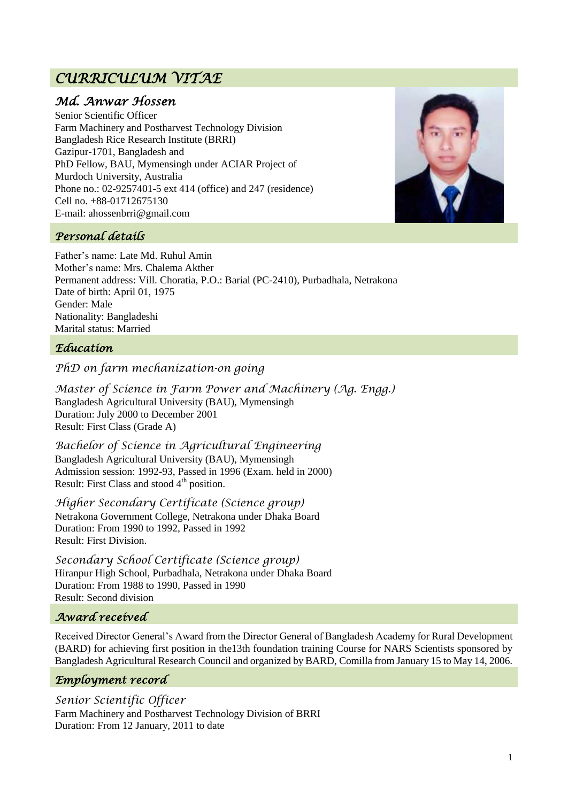# *CURRICULUM VITAE*

# *Md. Anwar Hossen*

Senior Scientific Officer Farm Machinery and Postharvest Technology Division Bangladesh Rice Research Institute (BRRI) Gazipur-1701, Bangladesh and PhD Fellow, BAU, Mymensingh under ACIAR Project of Murdoch University, Australia Phone no.: 02-9257401-5 ext 414 (office) and 247 (residence) Cell no. +88-01712675130 E-mail: ahossenbrri@gmail.com



# *Personal details*

Father"s name: Late Md. Ruhul Amin Mother"s name: Mrs. Chalema Akther Permanent address: Vill. Choratia, P.O.: Barial (PC-2410), Purbadhala, Netrakona Date of birth: April 01, 1975 Gender: Male Nationality: Bangladeshi Marital status: Married

#### *Education*

#### *PhD on farm mechanization-on going*

*Master of Science in Farm Power and Machinery (Ag. Engg.)*  Bangladesh Agricultural University (BAU), Mymensingh Duration: July 2000 to December 2001 Result: First Class (Grade A)

*Bachelor of Science in Agricultural Engineering* Bangladesh Agricultural University (BAU), Mymensingh Admission session: 1992-93, Passed in 1996 (Exam. held in 2000) Result: First Class and stood  $4<sup>th</sup>$  position.

*Higher Secondary Certificate (Science group)*  Netrakona Government College, Netrakona under Dhaka Board Duration: From 1990 to 1992, Passed in 1992 Result: First Division.

*Secondary School Certificate (Science group)* Hiranpur High School, Purbadhala, Netrakona under Dhaka Board Duration: From 1988 to 1990, Passed in 1990 Result: Second division

#### *Award received*

Received Director General"s Award from the Director General of Bangladesh Academy for Rural Development (BARD) for achieving first position in the13th foundation training Course for NARS Scientists sponsored by Bangladesh Agricultural Research Council and organized by BARD, Comilla from January 15 to May 14, 2006.

#### *Employment record*

*Senior Scientific Officer* Farm Machinery and Postharvest Technology Division of BRRI Duration: From 12 January, 2011 to date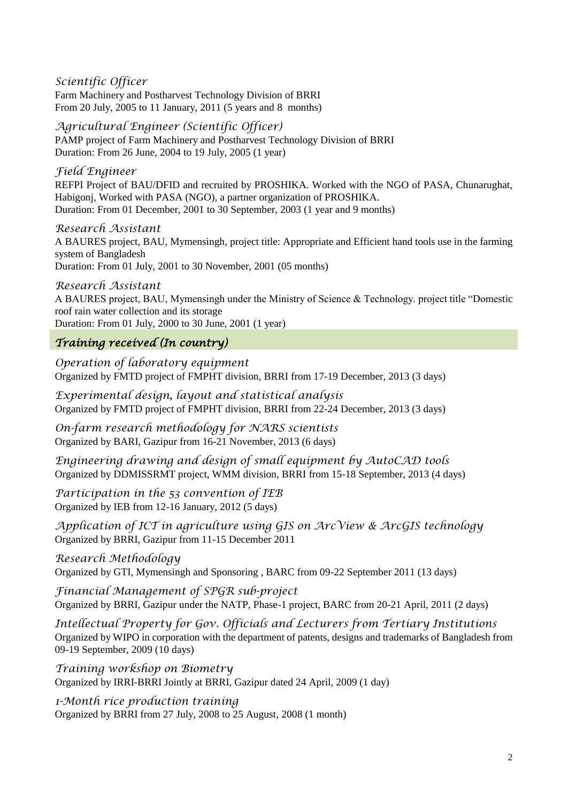*Scientific Officer* Farm Machinery and Postharvest Technology Division of BRRI From 20 July, 2005 to 11 January, 2011 (5 years and 8 months)

### *Agricultural Engineer (Scientific Officer)*

PAMP project of Farm Machinery and Postharvest Technology Division of BRRI Duration: From 26 June, 2004 to 19 July, 2005 (1 year)

### *Field Engineer*

REFPI Project of BAU/DFID and recruited by PROSHIKA. Worked with the NGO of PASA, Chunarughat, Habigonj, Worked with PASA (NGO), a partner organization of PROSHIKA. Duration: From 01 December, 2001 to 30 September, 2003 (1 year and 9 months)

#### *Research Assistant*

A BAURES project, BAU, Mymensingh, project title: Appropriate and Efficient hand tools use in the farming system of Bangladesh Duration: From 01 July, 2001 to 30 November, 2001 (05 months)

#### *Research Assistant*

A BAURES project, BAU, Mymensingh under the Ministry of Science & Technology. project title "Domestic roof rain water collection and its storage

Duration: From 01 July, 2000 to 30 June, 2001 (1 year)

# *Training received (In country)*

*Operation of laboratory equipment* Organized by FMTD project of FMPHT division, BRRI from 17-19 December, 2013 (3 days)

*Experimental design, layout and statistical analysis* Organized by FMTD project of FMPHT division, BRRI from 22-24 December, 2013 (3 days)

*On-farm research methodology for NARS scientists*  Organized by BARI, Gazipur from 16-21 November, 2013 (6 days)

*Engineering drawing and design of small equipment by AutoCAD tools* Organized by DDMISSRMT project, WMM division, BRRI from 15-18 September, 2013 (4 days)

*Participation in the 53 convention of IEB* Organized by IEB from 12-16 January, 2012 (5 days)

*Application of ICT in agriculture using GIS on ArcView & ArcGIS technology* Organized by BRRI, Gazipur from 11-15 December 2011

# *Research Methodology*

Organized by GTI, Mymensingh and Sponsoring , BARC from 09-22 September 2011 (13 days)

*Financial Management of SPGR sub-project* Organized by BRRI, Gazipur under the NATP, Phase-1 project, BARC from 20-21 April, 2011 (2 days)

*Intellectual Property for Gov. Officials and Lecturers from Tertiary Institutions*  Organized by WIPO in corporation with the department of patents, designs and trademarks of Bangladesh from 09-19 September, 2009 (10 days)

*Training workshop on Biometry*  Organized by IRRI-BRRI Jointly at BRRI, Gazipur dated 24 April, 2009 (1 day)

*1-Month rice production training* Organized by BRRI from 27 July, 2008 to 25 August, 2008 (1 month)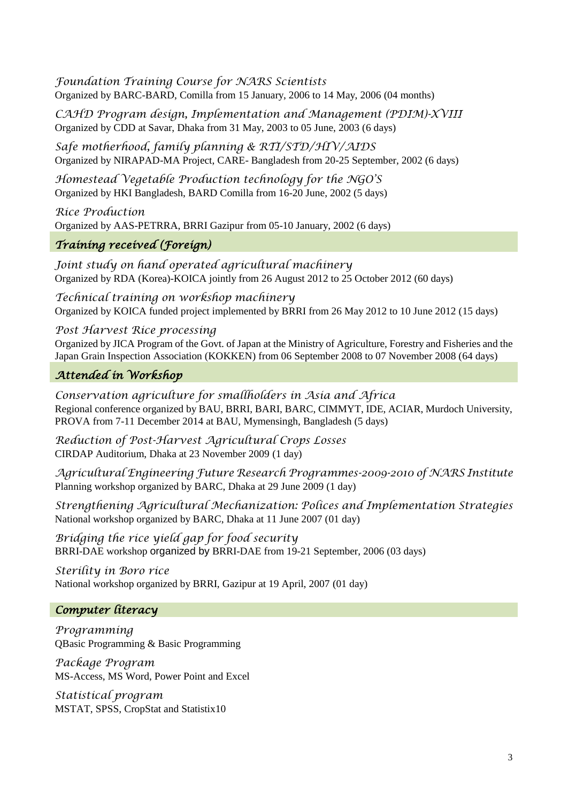*Foundation Training Course for NARS Scientists* Organized by BARC-BARD, Comilla from 15 January, 2006 to 14 May, 2006 (04 months)

*CAHD Program design, Implementation and Management (PDIM)-XVIII* Organized by CDD at Savar, Dhaka from 31 May, 2003 to 05 June, 2003 (6 days)

*Safe motherhood, family planning & RTI/STD/HIV/AIDS* Organized by NIRAPAD-MA Project, CARE- Bangladesh from 20-25 September, 2002 (6 days)

*Homestead Vegetable Production technology for the NGO'S* Organized by HKI Bangladesh, BARD Comilla from 16-20 June, 2002 (5 days)

*Rice Production* Organized by AAS-PETRRA, BRRI Gazipur from 05-10 January, 2002 (6 days)

# *Training received (Foreign)*

*Joint study on hand operated agricultural machinery* Organized by RDA (Korea)-KOICA jointly from 26 August 2012 to 25 October 2012 (60 days)

*Technical training on workshop machinery* Organized by KOICA funded project implemented by BRRI from 26 May 2012 to 10 June 2012 (15 days)

*Post Harvest Rice processing* Organized by JICA Program of the Govt. of Japan at the Ministry of Agriculture, Forestry and Fisheries and the Japan Grain Inspection Association (KOKKEN) from 06 September 2008 to 07 November 2008 (64 days)

# *Attended in Workshop*

*Conservation agriculture for smallholders in Asia and Africa*  Regional conference organized by BAU, BRRI, BARI, BARC, CIMMYT, IDE, ACIAR, Murdoch University, PROVA from 7-11 December 2014 at BAU, Mymensingh, Bangladesh (5 days)

*Reduction of Post-Harvest Agricultural Crops Losses* CIRDAP Auditorium, Dhaka at 23 November 2009 (1 day)

*Agricultural Engineering Future Research Programmes-2009-2010 of NARS Institute* Planning workshop organized by BARC, Dhaka at 29 June 2009 (1 day)

*Strengthening Agricultural Mechanization: Polices and Implementation Strategies* National workshop organized by BARC, Dhaka at 11 June 2007 (01 day)

*Bridging the rice yield gap for food security* BRRI-DAE workshop organized by BRRI-DAE from 19-21 September, 2006 (03 days)

*Sterility in Boro rice* National workshop organized by BRRI, Gazipur at 19 April, 2007 (01 day)

# *Computer literacy*

*Programming* QBasic Programming & Basic Programming

*Package Program* MS-Access, MS Word, Power Point and Excel

*Statistical program* MSTAT, SPSS, CropStat and Statistix10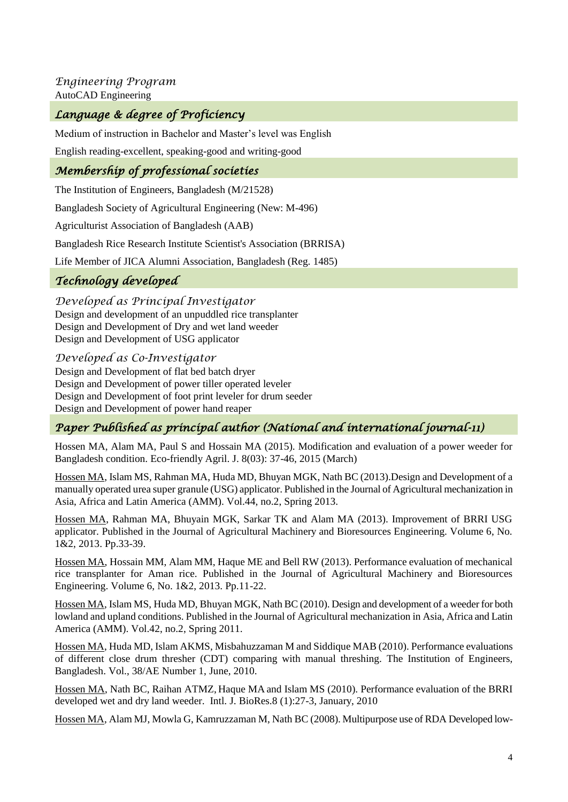*Engineering Program* AutoCAD Engineering

# *Language & degree of Proficiency*

Medium of instruction in Bachelor and Master"s level was English

English reading-excellent, speaking-good and writing-good

### *Membership of professional societies*

The Institution of Engineers, Bangladesh (M/21528)

Bangladesh Society of Agricultural Engineering (New: M-496)

Agriculturist Association of Bangladesh (AAB)

Bangladesh Rice Research Institute Scientist's Association (BRRISA)

Life Member of JICA Alumni Association, Bangladesh (Reg. 1485)

# *Technology developed*

*Developed as Principal Investigator*  Design and development of an unpuddled rice transplanter Design and Development of Dry and wet land weeder Design and Development of USG applicator

#### *Developed as Co-Investigator*

Design and Development of flat bed batch dryer Design and Development of power tiller operated leveler Design and Development of foot print leveler for drum seeder Design and Development of power hand reaper

# *Paper Published as principal author (National and international journal-11)*

Hossen MA, Alam MA, Paul S and Hossain MA (2015). Modification and evaluation of a power weeder for Bangladesh condition. Eco-friendly Agril. J. 8(03): 37-46, 2015 (March)

Hossen MA, Islam MS, Rahman MA, Huda MD, Bhuyan MGK, Nath BC (2013).Design and Development of a manually operated urea super granule (USG) applicator. Published in the Journal of Agricultural mechanization in Asia, Africa and Latin America (AMM). Vol.44, no.2, Spring 2013.

Hossen MA, Rahman MA, Bhuyain MGK, Sarkar TK and Alam MA (2013). Improvement of BRRI USG applicator. Published in the Journal of Agricultural Machinery and Bioresources Engineering. Volume 6, No. 1&2, 2013. Pp.33-39.

Hossen MA, Hossain MM, Alam MM, Haque ME and Bell RW (2013). Performance evaluation of mechanical rice transplanter for Aman rice. Published in the Journal of Agricultural Machinery and Bioresources Engineering. Volume 6, No. 1&2, 2013. Pp.11-22.

Hossen MA, Islam MS, Huda MD, Bhuyan MGK, Nath BC (2010). Design and development of a weeder for both lowland and upland conditions. Published in the Journal of Agricultural mechanization in Asia, Africa and Latin America (AMM). Vol.42, no.2, Spring 2011.

Hossen MA, Huda MD, Islam AKMS, Misbahuzzaman M and Siddique MAB (2010). Performance evaluations of different close drum thresher (CDT) comparing with manual threshing. The Institution of Engineers, Bangladesh. Vol., 38/AE Number 1, June, 2010.

Hossen MA, Nath BC, Raihan ATMZ, Haque MA and Islam MS (2010). Performance evaluation of the BRRI developed wet and dry land weeder. Intl. J. BioRes.8 (1):27-3, January, 2010

Hossen MA, Alam MJ, Mowla G, Kamruzzaman M, Nath BC (2008). Multipurpose use of RDA Developed low-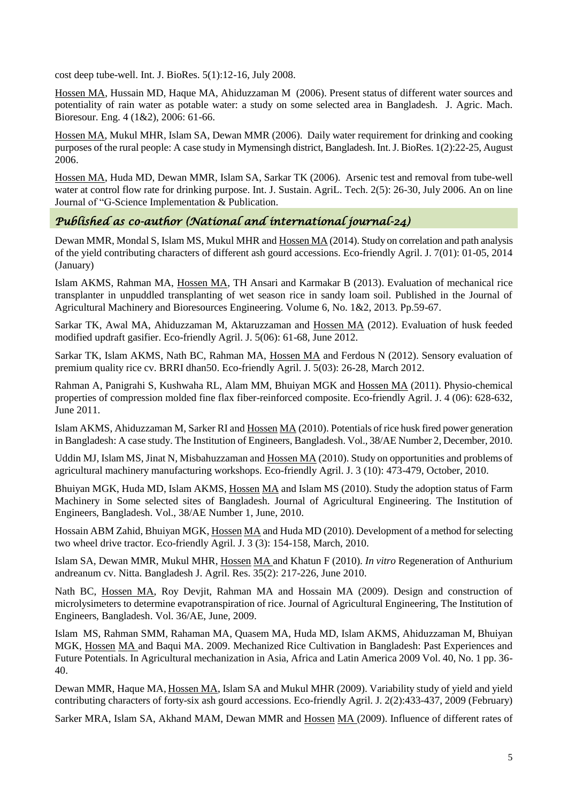cost deep tube-well. Int. J. BioRes. 5(1):12-16, July 2008.

Hossen MA, Hussain MD, Haque MA, Ahiduzzaman M (2006). Present status of different water sources and potentiality of rain water as potable water: a study on some selected area in Bangladesh. J. Agric. Mach. Bioresour. Eng. 4 (1&2), 2006: 61-66.

Hossen MA, Mukul MHR, Islam SA, Dewan MMR (2006). Daily water requirement for drinking and cooking purposes of the rural people: A case study in Mymensingh district, Bangladesh. Int. J. BioRes. 1(2):22-25, August 2006.

Hossen MA, Huda MD, Dewan MMR, Islam SA, Sarkar TK (2006). Arsenic test and removal from tube-well water at control flow rate for drinking purpose. Int. J. Sustain. AgriL. Tech. 2(5): 26-30, July 2006. An on line Journal of "G-Science Implementation & Publication.

#### *Published as co-author (National and international journal-24)*

Dewan MMR, Mondal S, Islam MS, Mukul MHR and Hossen MA (2014). Study on correlation and path analysis of the yield contributing characters of different ash gourd accessions. Eco-friendly Agril. J. 7(01): 01-05, 2014 (January)

Islam AKMS, Rahman MA, Hossen MA, TH Ansari and Karmakar B (2013). Evaluation of mechanical rice transplanter in unpuddled transplanting of wet season rice in sandy loam soil. Published in the Journal of Agricultural Machinery and Bioresources Engineering. Volume 6, No. 1&2, 2013. Pp.59-67.

Sarkar TK, Awal MA, Ahiduzzaman M, Aktaruzzaman and Hossen MA (2012). Evaluation of husk feeded modified updraft gasifier. Eco-friendly Agril. J. 5(06): 61-68, June 2012.

Sarkar TK, Islam AKMS, Nath BC, Rahman MA, Hossen MA and Ferdous N (2012). Sensory evaluation of premium quality rice cv. BRRI dhan50. Eco-friendly Agril. J. 5(03): 26-28, March 2012.

Rahman A, Panigrahi S, Kushwaha RL, Alam MM, Bhuiyan MGK and Hossen MA (2011). Physio-chemical properties of compression molded fine flax fiber-reinforced composite. Eco-friendly Agril. J. 4 (06): 628-632, June 2011.

Islam AKMS, Ahiduzzaman M, Sarker RI and Hossen MA (2010). Potentials of rice husk fired power generation in Bangladesh: A case study. The Institution of Engineers, Bangladesh. Vol., 38/AE Number 2, December, 2010.

Uddin MJ, Islam MS, Jinat N, Misbahuzzaman and Hossen MA (2010). Study on opportunities and problems of agricultural machinery manufacturing workshops. Eco-friendly Agril. J. 3 (10): 473-479, October, 2010.

Bhuiyan MGK, Huda MD, Islam AKMS, Hossen MA and Islam MS (2010). Study the adoption status of Farm Machinery in Some selected sites of Bangladesh. Journal of Agricultural Engineering. The Institution of Engineers, Bangladesh. Vol., 38/AE Number 1, June, 2010.

Hossain ABM Zahid, Bhuiyan MGK, Hossen MA and Huda MD (2010). Development of a method for selecting two wheel drive tractor. Eco-friendly Agril. J. 3 (3): 154-158, March, 2010.

Islam SA, Dewan MMR, Mukul MHR, Hossen MA and Khatun F (2010). *In vitro* Regeneration of Anthurium andreanum cv. Nitta. Bangladesh J. Agril. Res. 35(2): 217-226, June 2010.

Nath BC, Hossen MA, Roy Devjit, Rahman MA and Hossain MA (2009). Design and construction of microlysimeters to determine evapotranspiration of rice. Journal of Agricultural Engineering, The Institution of Engineers, Bangladesh. Vol. 36/AE, June, 2009.

Islam MS, Rahman SMM, Rahaman MA, Quasem MA, Huda MD, Islam AKMS, Ahiduzzaman M, Bhuiyan MGK, Hossen MA and Baqui MA. 2009. Mechanized Rice Cultivation in Bangladesh: Past Experiences and Future Potentials. In Agricultural mechanization in Asia, Africa and Latin America 2009 Vol. 40, No. 1 pp. 36- 40.

Dewan MMR, Haque MA, Hossen MA, Islam SA and Mukul MHR (2009). Variability study of yield and yield contributing characters of forty-six ash gourd accessions. Eco-friendly Agril. J. 2(2):433-437, 2009 (February)

Sarker MRA, Islam SA, Akhand MAM, Dewan MMR and Hossen MA (2009). Influence of different rates of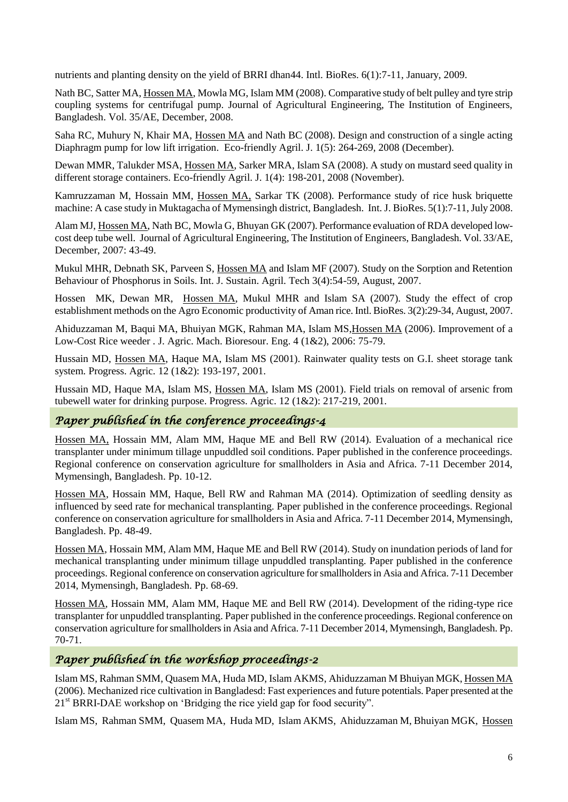nutrients and planting density on the yield of BRRI dhan44. Intl. BioRes. 6(1):7-11, January, 2009.

Nath BC, Satter MA, Hossen MA, Mowla MG, Islam MM (2008). Comparative study of belt pulley and tyre strip coupling systems for centrifugal pump. Journal of Agricultural Engineering, The Institution of Engineers, Bangladesh. Vol. 35/AE, December, 2008.

Saha RC, Muhury N, Khair MA, Hossen MA and Nath BC (2008). Design and construction of a single acting Diaphragm pump for low lift irrigation. Eco-friendly Agril. J. 1(5): 264-269, 2008 (December).

Dewan MMR, Talukder MSA, Hossen MA, Sarker MRA, Islam SA (2008). A study on mustard seed quality in different storage containers. Eco-friendly Agril. J. 1(4): 198-201, 2008 (November).

Kamruzzaman M, Hossain MM, Hossen MA, Sarkar TK (2008). Performance study of rice husk briquette machine: A case study in Muktagacha of Mymensingh district, Bangladesh. Int. J. BioRes. 5(1):7-11, July 2008.

Alam MJ, Hossen MA, Nath BC, Mowla G, Bhuyan GK (2007). Performance evaluation of RDA developed lowcost deep tube well. Journal of Agricultural Engineering, The Institution of Engineers, Bangladesh. Vol. 33/AE, December, 2007: 43-49.

Mukul MHR, Debnath SK, Parveen S, Hossen MA and Islam MF (2007). Study on the Sorption and Retention Behaviour of Phosphorus in Soils. Int. J. Sustain. Agril. Tech 3(4):54-59, August, 2007.

Hossen MK, Dewan MR, Hossen MA, Mukul MHR and Islam SA (2007). Study the effect of crop establishment methods on the Agro Economic productivity of Aman rice. Intl. BioRes. 3(2):29-34, August, 2007.

Ahiduzzaman M, Baqui MA, Bhuiyan MGK, Rahman MA, Islam MS,Hossen MA (2006). Improvement of a Low-Cost Rice weeder . J. Agric. Mach. Bioresour. Eng. 4 (1&2), 2006: 75-79.

Hussain MD, Hossen MA, Haque MA, Islam MS (2001). Rainwater quality tests on G.I. sheet storage tank system. Progress. Agric. 12 (1&2): 193-197, 2001.

Hussain MD, Haque MA, Islam MS, Hossen MA, Islam MS (2001). Field trials on removal of arsenic from tubewell water for drinking purpose. Progress. Agric. 12 (1&2): 217-219, 2001.

#### *Paper published in the conference proceedings-4*

Hossen MA, Hossain MM, Alam MM, Haque ME and Bell RW (2014). Evaluation of a mechanical rice transplanter under minimum tillage unpuddled soil conditions. Paper published in the conference proceedings. Regional conference on conservation agriculture for smallholders in Asia and Africa. 7-11 December 2014, Mymensingh, Bangladesh. Pp. 10-12.

Hossen MA, Hossain MM, Haque, Bell RW and Rahman MA (2014). Optimization of seedling density as influenced by seed rate for mechanical transplanting. Paper published in the conference proceedings. Regional conference on conservation agriculture for smallholders in Asia and Africa. 7-11 December 2014, Mymensingh, Bangladesh. Pp. 48-49.

Hossen MA, Hossain MM, Alam MM, Haque ME and Bell RW (2014). Study on inundation periods of land for mechanical transplanting under minimum tillage unpuddled transplanting. Paper published in the conference proceedings. Regional conference on conservation agriculture for smallholders in Asia and Africa. 7-11 December 2014, Mymensingh, Bangladesh. Pp. 68-69.

Hossen MA, Hossain MM, Alam MM, Haque ME and Bell RW (2014). Development of the riding-type rice transplanter for unpuddled transplanting. Paper published in the conference proceedings. Regional conference on conservation agriculture for smallholders in Asia and Africa. 7-11 December 2014, Mymensingh, Bangladesh. Pp. 70-71.

#### *Paper published in the workshop proceedings-2*

Islam MS, Rahman SMM, Quasem MA, Huda MD, Islam AKMS, Ahiduzzaman M Bhuiyan MGK, Hossen MA (2006). Mechanized rice cultivation in Bangladesd: Fast experiences and future potentials. Paper presented at the 21<sup>st</sup> BRRI-DAE workshop on 'Bridging the rice yield gap for food security".

Islam MS, Rahman SMM, Quasem MA, Huda MD, Islam AKMS, Ahiduzzaman M, Bhuiyan MGK, Hossen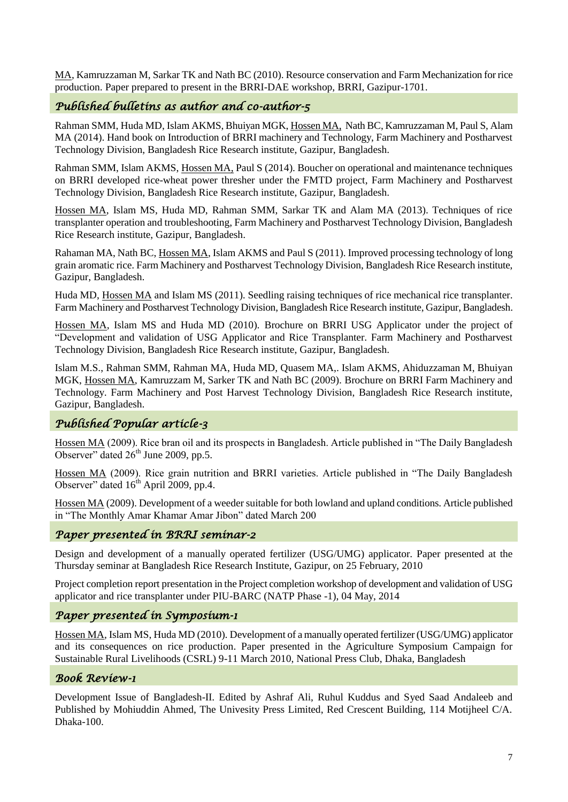MA, Kamruzzaman M, Sarkar TK and Nath BC (2010). Resource conservation and Farm Mechanization for rice production. Paper prepared to present in the BRRI-DAE workshop, BRRI, Gazipur-1701.

# *Published bulletins as author and co-author-5*

Rahman SMM, Huda MD, Islam AKMS, Bhuiyan MGK, Hossen MA, Nath BC, Kamruzzaman M, Paul S, Alam MA (2014). Hand book on Introduction of BRRI machinery and Technology, Farm Machinery and Postharvest Technology Division, Bangladesh Rice Research institute, Gazipur, Bangladesh.

Rahman SMM, Islam AKMS, Hossen MA, Paul S (2014). Boucher on operational and maintenance techniques on BRRI developed rice-wheat power thresher under the FMTD project, Farm Machinery and Postharvest Technology Division, Bangladesh Rice Research institute, Gazipur, Bangladesh.

Hossen MA, Islam MS, Huda MD, Rahman SMM, Sarkar TK and Alam MA (2013). Techniques of rice transplanter operation and troubleshooting, Farm Machinery and Postharvest Technology Division, Bangladesh Rice Research institute, Gazipur, Bangladesh.

Rahaman MA, Nath BC, Hossen MA, Islam AKMS and Paul S (2011). Improved processing technology of long grain aromatic rice. Farm Machinery and Postharvest Technology Division, Bangladesh Rice Research institute, Gazipur, Bangladesh.

Huda MD, Hossen MA and Islam MS (2011). Seedling raising techniques of rice mechanical rice transplanter. Farm Machinery and Postharvest Technology Division, Bangladesh Rice Research institute, Gazipur, Bangladesh.

Hossen MA, Islam MS and Huda MD (2010). Brochure on BRRI USG Applicator under the project of "Development and validation of USG Applicator and Rice Transplanter. Farm Machinery and Postharvest Technology Division, Bangladesh Rice Research institute, Gazipur, Bangladesh.

Islam M.S., Rahman SMM, Rahman MA, Huda MD, Quasem MA,. Islam AKMS, Ahiduzzaman M, Bhuiyan MGK, Hossen MA, Kamruzzam M, Sarker TK and Nath BC (2009). Brochure on BRRI Farm Machinery and Technology. Farm Machinery and Post Harvest Technology Division, Bangladesh Rice Research institute, Gazipur, Bangladesh.

# *Published Popular article-3*

Hossen MA (2009). Rice bran oil and its prospects in Bangladesh. Article published in "The Daily Bangladesh" Observer" dated  $26<sup>th</sup>$  June 2009, pp.5.

Hossen MA (2009). Rice grain nutrition and BRRI varieties. Article published in "The Daily Bangladesh Observer" dated  $16<sup>th</sup>$  April 2009, pp.4.

Hossen MA (2009). Development of a weeder suitable for both lowland and upland conditions. Article published in "The Monthly Amar Khamar Amar Jibon" dated March 200

#### *Paper presented in BRRI seminar-2*

Design and development of a manually operated fertilizer (USG/UMG) applicator. Paper presented at the Thursday seminar at Bangladesh Rice Research Institute, Gazipur, on 25 February, 2010

Project completion report presentation in the Project completion workshop of development and validation of USG applicator and rice transplanter under PIU-BARC (NATP Phase -1), 04 May, 2014

#### *Paper presented in Symposium-1*

Hossen MA, Islam MS, Huda MD (2010). Development of a manually operated fertilizer (USG/UMG) applicator and its consequences on rice production. Paper presented in the Agriculture Symposium Campaign for Sustainable Rural Livelihoods (CSRL) 9-11 March 2010, National Press Club, Dhaka, Bangladesh

#### *Book Review-1*

Development Issue of Bangladesh-II. Edited by Ashraf Ali, Ruhul Kuddus and Syed Saad Andaleeb and Published by Mohiuddin Ahmed, The Univesity Press Limited, Red Crescent Building, 114 Motijheel C/A. Dhaka-100.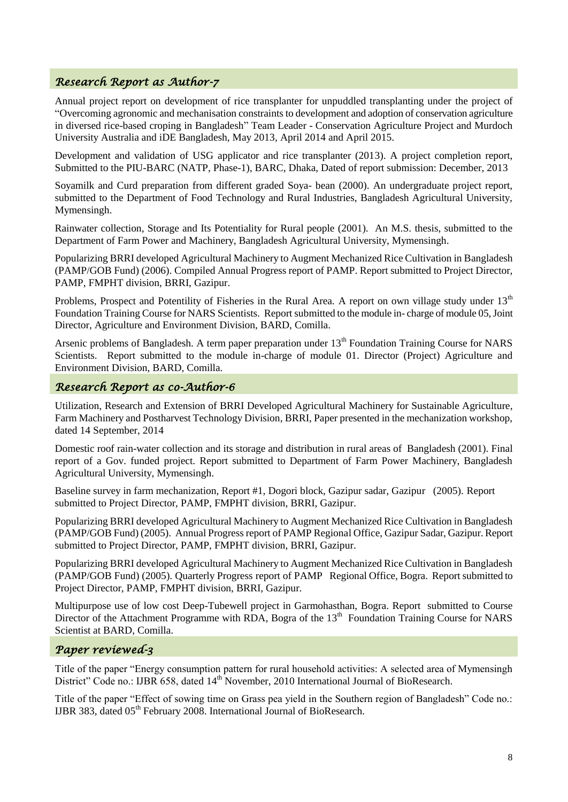#### *Research Report as Author-7*

Annual project report on development of rice transplanter for unpuddled transplanting under the project of "Overcoming agronomic and mechanisation constraints to development and adoption of conservation agriculture in diversed rice-based croping in Bangladesh" Team Leader - Conservation Agriculture Project and Murdoch University Australia and iDE Bangladesh, May 2013, April 2014 and April 2015.

Development and validation of USG applicator and rice transplanter (2013). A project completion report, Submitted to the PIU-BARC (NATP, Phase-1), BARC, Dhaka, Dated of report submission: December, 2013

Soyamilk and Curd preparation from different graded Soya- bean (2000). An undergraduate project report, submitted to the Department of Food Technology and Rural Industries, Bangladesh Agricultural University, Mymensingh.

Rainwater collection, Storage and Its Potentiality for Rural people (2001). An M.S. thesis, submitted to the Department of Farm Power and Machinery, Bangladesh Agricultural University, Mymensingh.

Popularizing BRRI developed Agricultural Machinery to Augment Mechanized Rice Cultivation in Bangladesh (PAMP/GOB Fund) (2006). Compiled Annual Progress report of PAMP. Report submitted to Project Director, PAMP, FMPHT division, BRRI, Gazipur.

Problems, Prospect and Potentility of Fisheries in the Rural Area. A report on own village study under 13<sup>th</sup> Foundation Training Course for NARS Scientists. Report submitted to the module in- charge of module 05, Joint Director, Agriculture and Environment Division, BARD, Comilla.

Arsenic problems of Bangladesh. A term paper preparation under  $13<sup>th</sup>$  Foundation Training Course for NARS Scientists. Report submitted to the module in-charge of module 01. Director (Project) Agriculture and Environment Division, BARD, Comilla.

#### *Research Report as co-Author-6*

Utilization, Research and Extension of BRRI Developed Agricultural Machinery for Sustainable Agriculture, Farm Machinery and Postharvest Technology Division, BRRI, Paper presented in the mechanization workshop, dated 14 September, 2014

Domestic roof rain-water collection and its storage and distribution in rural areas of Bangladesh (2001). Final report of a Gov. funded project. Report submitted to Department of Farm Power Machinery, Bangladesh Agricultural University, Mymensingh.

Baseline survey in farm mechanization, Report #1, Dogori block, Gazipur sadar, Gazipur (2005). Report submitted to Project Director, PAMP, FMPHT division, BRRI, Gazipur.

Popularizing BRRI developed Agricultural Machinery to Augment Mechanized Rice Cultivation in Bangladesh (PAMP/GOB Fund) (2005). Annual Progress report of PAMP Regional Office, Gazipur Sadar, Gazipur. Report submitted to Project Director, PAMP, FMPHT division, BRRI, Gazipur.

Popularizing BRRI developed Agricultural Machinery to Augment Mechanized Rice Cultivation in Bangladesh (PAMP/GOB Fund) (2005). Quarterly Progress report of PAMP Regional Office, Bogra. Report submitted to Project Director, PAMP, FMPHT division, BRRI, Gazipur.

Multipurpose use of low cost Deep-Tubewell project in Garmohasthan, Bogra. Report submitted to Course Director of the Attachment Programme with RDA, Bogra of the 13<sup>th</sup> Foundation Training Course for NARS Scientist at BARD, Comilla.

#### *Paper reviewed-3*

Title of the paper "Energy consumption pattern for rural household activities: A selected area of Mymensingh District" Code no.: IJBR 658, dated 14<sup>th</sup> November, 2010 International Journal of BioResearch.

Title of the paper "Effect of sowing time on Grass pea yield in the Southern region of Bangladesh" Code no.: IJBR 383, dated 05<sup>th</sup> February 2008. International Journal of BioResearch.